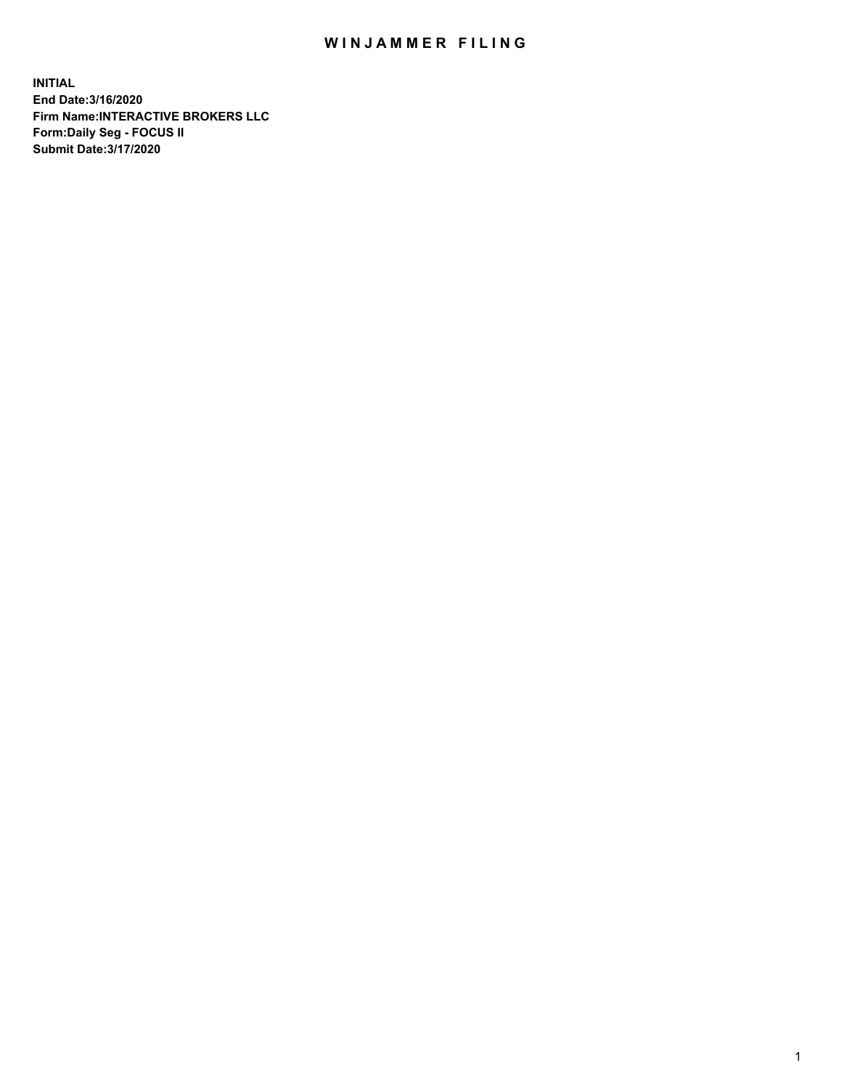## WIN JAMMER FILING

**INITIAL End Date:3/16/2020 Firm Name:INTERACTIVE BROKERS LLC Form:Daily Seg - FOCUS II Submit Date:3/17/2020**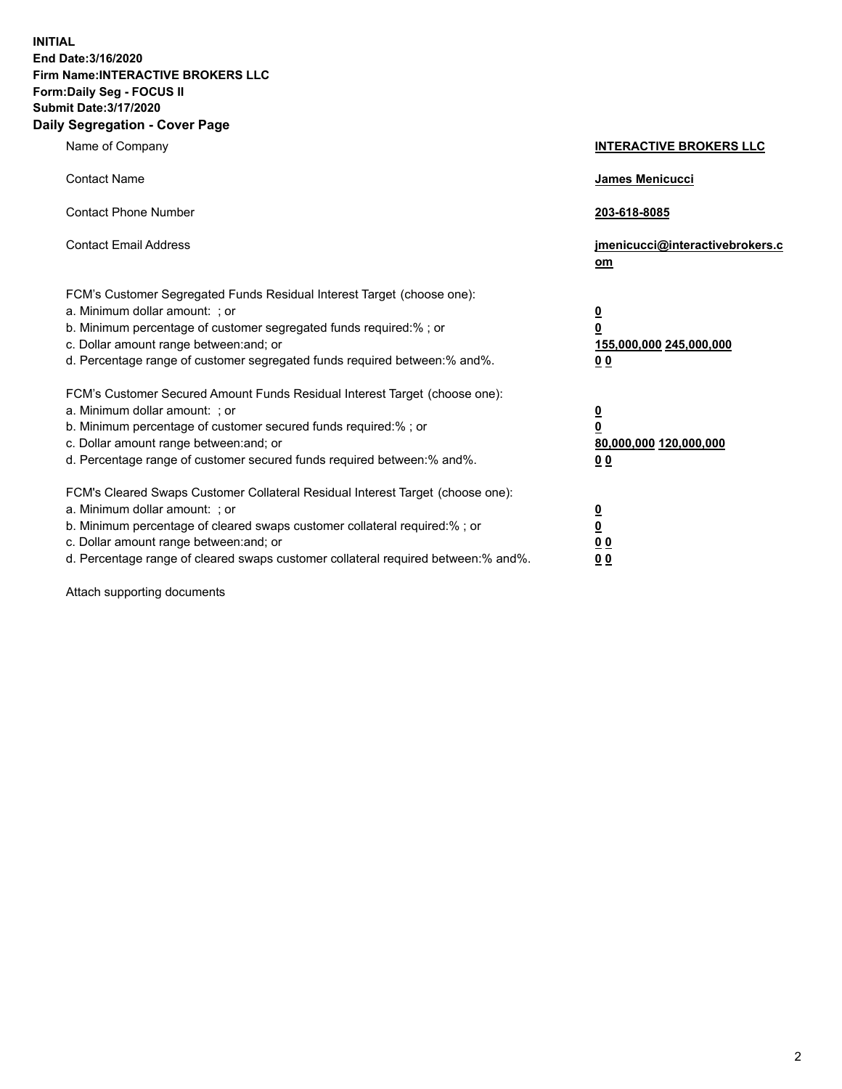**INITIAL End Date:3/16/2020 Firm Name:INTERACTIVE BROKERS LLC Form:Daily Seg - FOCUS II Submit Date:3/17/2020 Daily Segregation - Cover Page**

| Name of Company                                                                                                                                                                                                                                                                                                                | <b>INTERACTIVE BROKERS LLC</b>                                                                  |
|--------------------------------------------------------------------------------------------------------------------------------------------------------------------------------------------------------------------------------------------------------------------------------------------------------------------------------|-------------------------------------------------------------------------------------------------|
| <b>Contact Name</b>                                                                                                                                                                                                                                                                                                            | <b>James Menicucci</b>                                                                          |
| <b>Contact Phone Number</b>                                                                                                                                                                                                                                                                                                    | 203-618-8085                                                                                    |
| <b>Contact Email Address</b>                                                                                                                                                                                                                                                                                                   | jmenicucci@interactivebrokers.c<br><u>om</u>                                                    |
| FCM's Customer Segregated Funds Residual Interest Target (choose one):<br>a. Minimum dollar amount: ; or<br>b. Minimum percentage of customer segregated funds required:%; or<br>c. Dollar amount range between: and; or<br>d. Percentage range of customer segregated funds required between:% and%.                          | $\overline{\mathbf{0}}$<br>$\overline{\mathbf{0}}$<br>155,000,000 245,000,000<br>0 <sub>0</sub> |
| FCM's Customer Secured Amount Funds Residual Interest Target (choose one):<br>a. Minimum dollar amount: ; or<br>b. Minimum percentage of customer secured funds required:%; or<br>c. Dollar amount range between: and; or<br>d. Percentage range of customer secured funds required between:% and%.                            | $\overline{\mathbf{0}}$<br>$\overline{\mathbf{0}}$<br>80,000,000 120,000,000<br>0 <sub>0</sub>  |
| FCM's Cleared Swaps Customer Collateral Residual Interest Target (choose one):<br>a. Minimum dollar amount: ; or<br>b. Minimum percentage of cleared swaps customer collateral required:% ; or<br>c. Dollar amount range between: and; or<br>d. Percentage range of cleared swaps customer collateral required between:% and%. | $\overline{\mathbf{0}}$<br>$\underline{\mathbf{0}}$<br>$\underline{0}$ $\underline{0}$<br>00    |

Attach supporting documents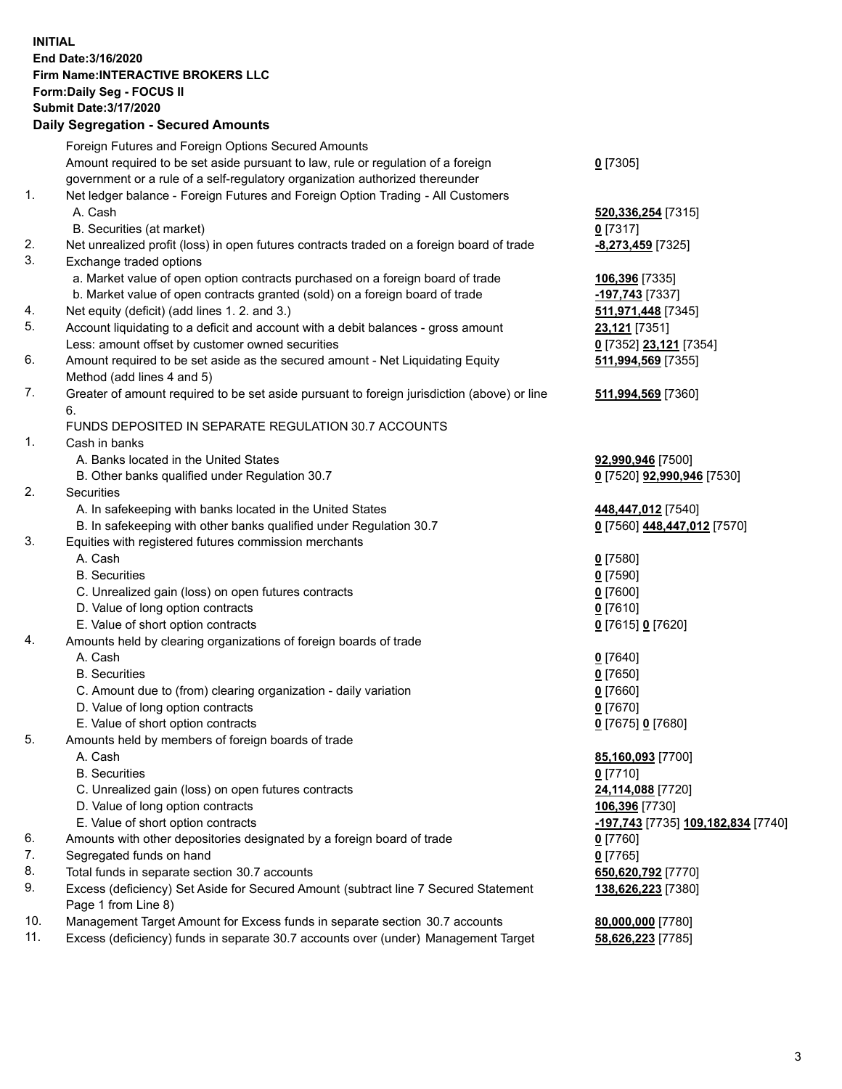**INITIAL End Date:3/16/2020 Firm Name:INTERACTIVE BROKERS LLC Form:Daily Seg - FOCUS II Submit Date:3/17/2020 Daily Segregation - Secured Amounts**

|     | Daily Ocglegation - Occuled Anioants                                                                       |                                                 |
|-----|------------------------------------------------------------------------------------------------------------|-------------------------------------------------|
|     | Foreign Futures and Foreign Options Secured Amounts                                                        |                                                 |
|     | Amount required to be set aside pursuant to law, rule or regulation of a foreign                           | $0$ [7305]                                      |
|     | government or a rule of a self-regulatory organization authorized thereunder                               |                                                 |
| 1.  | Net ledger balance - Foreign Futures and Foreign Option Trading - All Customers                            |                                                 |
|     | A. Cash                                                                                                    | 520,336,254 [7315]                              |
|     | B. Securities (at market)                                                                                  | $0$ [7317]                                      |
| 2.  | Net unrealized profit (loss) in open futures contracts traded on a foreign board of trade                  | -8,273,459 [7325]                               |
| 3.  | Exchange traded options                                                                                    |                                                 |
|     | a. Market value of open option contracts purchased on a foreign board of trade                             | 106,396 [7335]                                  |
|     | b. Market value of open contracts granted (sold) on a foreign board of trade                               | -197,743 [7337]                                 |
| 4.  | Net equity (deficit) (add lines 1. 2. and 3.)                                                              | 511,971,448 [7345]                              |
| 5.  | Account liquidating to a deficit and account with a debit balances - gross amount                          | 23,121 [7351]                                   |
|     | Less: amount offset by customer owned securities                                                           | 0 [7352] 23,121 [7354]                          |
| 6.  | Amount required to be set aside as the secured amount - Net Liquidating Equity                             | 511,994,569 [7355]                              |
|     | Method (add lines 4 and 5)                                                                                 |                                                 |
| 7.  | Greater of amount required to be set aside pursuant to foreign jurisdiction (above) or line                | 511,994,569 [7360]                              |
|     | 6.                                                                                                         |                                                 |
|     | FUNDS DEPOSITED IN SEPARATE REGULATION 30.7 ACCOUNTS                                                       |                                                 |
| 1.  | Cash in banks                                                                                              |                                                 |
|     | A. Banks located in the United States                                                                      | 92,990,946 [7500]                               |
|     | B. Other banks qualified under Regulation 30.7                                                             | 0 [7520] 92,990,946 [7530]                      |
| 2.  | Securities                                                                                                 |                                                 |
|     | A. In safekeeping with banks located in the United States                                                  | 448,447,012 [7540]                              |
|     | B. In safekeeping with other banks qualified under Regulation 30.7                                         | 0 [7560] 448,447,012 [7570]                     |
| 3.  | Equities with registered futures commission merchants                                                      |                                                 |
|     | A. Cash                                                                                                    | $0$ [7580]                                      |
|     | <b>B.</b> Securities                                                                                       | $0$ [7590]                                      |
|     | C. Unrealized gain (loss) on open futures contracts                                                        | $0$ [7600]                                      |
|     | D. Value of long option contracts                                                                          | $0$ [7610]                                      |
|     | E. Value of short option contracts                                                                         | 0 [7615] 0 [7620]                               |
| 4.  | Amounts held by clearing organizations of foreign boards of trade                                          |                                                 |
|     | A. Cash                                                                                                    | $0$ [7640]                                      |
|     | <b>B.</b> Securities                                                                                       | $0$ [7650]                                      |
|     | C. Amount due to (from) clearing organization - daily variation                                            | $0$ [7660]                                      |
|     | D. Value of long option contracts                                                                          | $0$ [7670]                                      |
|     | E. Value of short option contracts                                                                         | 0 [7675] 0 [7680]                               |
| 5.  | Amounts held by members of foreign boards of trade                                                         |                                                 |
|     | A. Cash                                                                                                    | 85,160,093 [7700]                               |
|     | <b>B.</b> Securities                                                                                       | $0$ [7710]                                      |
|     | C. Unrealized gain (loss) on open futures contracts                                                        | 24,114,088 [7720]                               |
|     | D. Value of long option contracts                                                                          | 106,396 [7730]                                  |
|     | E. Value of short option contracts                                                                         | <mark>-197,743</mark> [7735] 109,182,834 [7740] |
| 6.  | Amounts with other depositories designated by a foreign board of trade                                     | 0 [7760]                                        |
| 7.  | Segregated funds on hand                                                                                   | $0$ [7765]                                      |
| 8.  | Total funds in separate section 30.7 accounts                                                              | 650,620,792 [7770]                              |
| 9.  | Excess (deficiency) Set Aside for Secured Amount (subtract line 7 Secured Statement<br>Page 1 from Line 8) | 138,626,223 [7380]                              |
| 10. | Management Target Amount for Excess funds in separate section 30.7 accounts                                | 80,000,000 [7780]                               |
| 11. | Excess (deficiency) funds in separate 30.7 accounts over (under) Management Target                         | 58,626,223 [7785]                               |
|     |                                                                                                            |                                                 |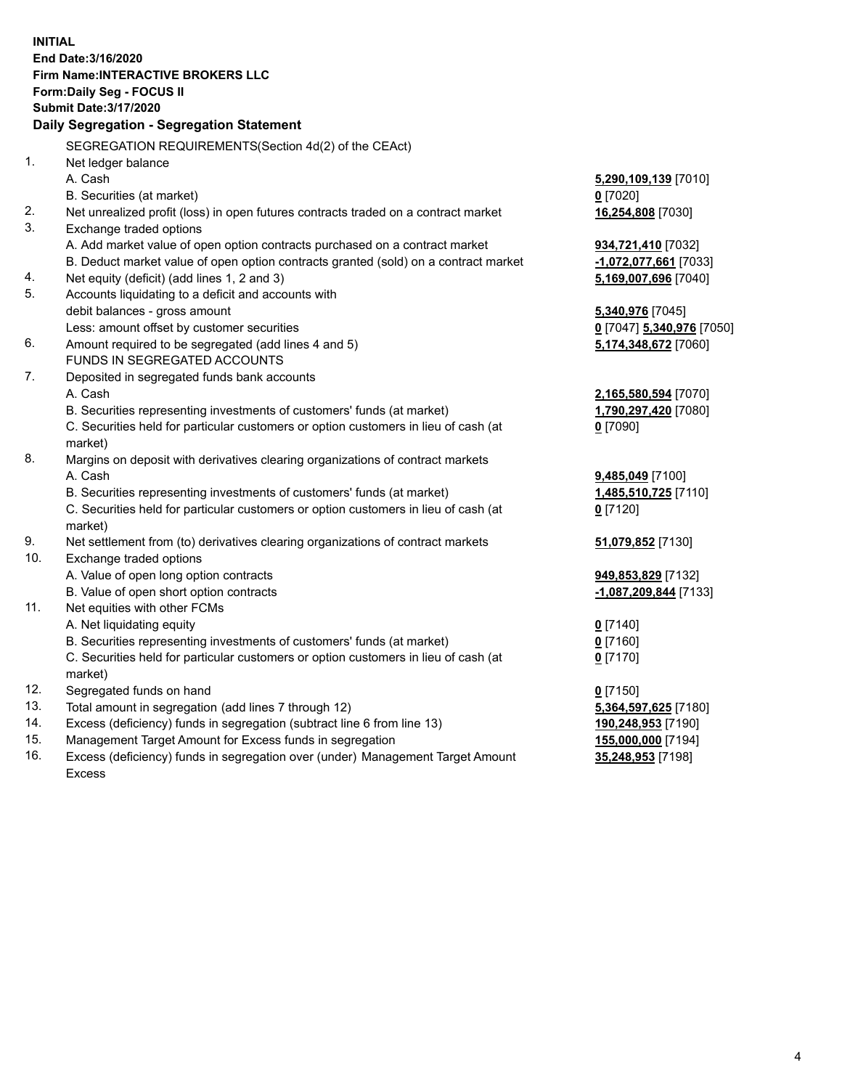**INITIAL End Date:3/16/2020 Firm Name:INTERACTIVE BROKERS LLC Form:Daily Seg - FOCUS II Submit Date:3/17/2020 Daily Segregation - Segregation Statement** SEGREGATION REQUIREMENTS(Section 4d(2) of the CEAct) 1. Net ledger balance A. Cash **5,290,109,139** [7010] B. Securities (at market) **0** [7020] 2. Net unrealized profit (loss) in open futures contracts traded on a contract market **16,254,808** [7030] 3. Exchange traded options A. Add market value of open option contracts purchased on a contract market **934,721,410** [7032] B. Deduct market value of open option contracts granted (sold) on a contract market **-1,072,077,661** [7033] 4. Net equity (deficit) (add lines 1, 2 and 3) **5,169,007,696** [7040] 5. Accounts liquidating to a deficit and accounts with debit balances - gross amount **5,340,976** [7045] Less: amount offset by customer securities **0** [7047] **5,340,976** [7050] 6. Amount required to be segregated (add lines 4 and 5) **5,174,348,672** [7060] FUNDS IN SEGREGATED ACCOUNTS 7. Deposited in segregated funds bank accounts A. Cash **2,165,580,594** [7070] B. Securities representing investments of customers' funds (at market) **1,790,297,420** [7080] C. Securities held for particular customers or option customers in lieu of cash (at market) **0** [7090] 8. Margins on deposit with derivatives clearing organizations of contract markets A. Cash **9,485,049** [7100] B. Securities representing investments of customers' funds (at market) **1,485,510,725** [7110] C. Securities held for particular customers or option customers in lieu of cash (at market) **0** [7120] 9. Net settlement from (to) derivatives clearing organizations of contract markets **51,079,852** [7130] 10. Exchange traded options A. Value of open long option contracts **949,853,829** [7132] B. Value of open short option contracts **-1,087,209,844** [7133] 11. Net equities with other FCMs A. Net liquidating equity **0** [7140] B. Securities representing investments of customers' funds (at market) **0** [7160] C. Securities held for particular customers or option customers in lieu of cash (at market) **0** [7170] 12. Segregated funds on hand **0** [7150] 13. Total amount in segregation (add lines 7 through 12) **5,364,597,625** [7180] 14. Excess (deficiency) funds in segregation (subtract line 6 from line 13) **190,248,953** [7190] 15. Management Target Amount for Excess funds in segregation **155,000,000** [7194]

16. Excess (deficiency) funds in segregation over (under) Management Target Amount Excess

**35,248,953** [7198]